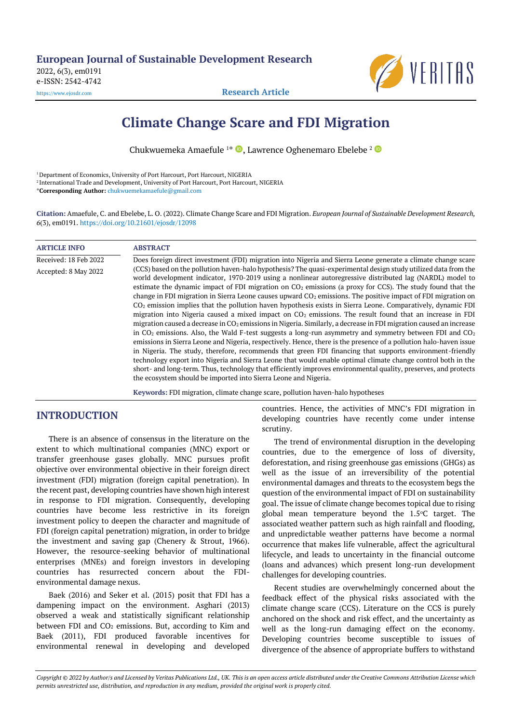**European Journal of Sustainable Development Research** 2022, 6(3), em0191 e-ISSN: 2542-4742 [https://www.ejosdr.com](https://www.ejosdr.com/) **Research Article**



# **Climate Change Scare and FDI Migration**

Chukwuemeka Amaefule <sup>1\*</sup>  $\bullet$ , Lawrence Oghenemaro Ebelebe <sup>2</sup>

<sup>1</sup> Department of Economics, University of Port Harcourt, Port Harcourt, NIGERIA

2 International Trade and Development, University of Port Harcourt, Port Harcourt, NIGERIA

\***Corresponding Author:** [chukwuemekamaefule@gmail.com](mailto:chukwuemekamaefule@gmail.com)

**Citation:** Amaefule, C. and Ebelebe, L. O. (2022). Climate Change Scare and FDI Migration. *European Journal of Sustainable Development Research, 6*(3), em0191. <https://doi.org/10.21601/ejosdr/12098>

| <b>ARTICLE INFO</b>   | <b>ABSTRACT</b>                                                                                                                                                                                                                                                                                                                                                                                                                                                                                                                                                                                                                                                                                                                                                                                                                                                                                                                                                                                                                                                                                                                                                                                                                                                                                                                                                                                                                                                        |
|-----------------------|------------------------------------------------------------------------------------------------------------------------------------------------------------------------------------------------------------------------------------------------------------------------------------------------------------------------------------------------------------------------------------------------------------------------------------------------------------------------------------------------------------------------------------------------------------------------------------------------------------------------------------------------------------------------------------------------------------------------------------------------------------------------------------------------------------------------------------------------------------------------------------------------------------------------------------------------------------------------------------------------------------------------------------------------------------------------------------------------------------------------------------------------------------------------------------------------------------------------------------------------------------------------------------------------------------------------------------------------------------------------------------------------------------------------------------------------------------------------|
| Received: 18 Feb 2022 | Does foreign direct investment (FDI) migration into Nigeria and Sierra Leone generate a climate change scare                                                                                                                                                                                                                                                                                                                                                                                                                                                                                                                                                                                                                                                                                                                                                                                                                                                                                                                                                                                                                                                                                                                                                                                                                                                                                                                                                           |
| Accepted: 8 May 2022  | (CCS) based on the pollution haven-halo hypothesis? The quasi-experimental design study utilized data from the<br>world development indicator, 1970-2019 using a nonlinear autoregressive distributed lag (NARDL) model to<br>estimate the dynamic impact of FDI migration on $CO2$ emissions (a proxy for CCS). The study found that the<br>change in FDI migration in Sierra Leone causes upward $CO2$ emissions. The positive impact of FDI migration on<br>$CO2$ emission implies that the pollution haven hypothesis exists in Sierra Leone. Comparatively, dynamic FDI<br>migration into Nigeria caused a mixed impact on $CO2$ emissions. The result found that an increase in FDI<br>migration caused a decrease in $CO2$ emissions in Nigeria. Similarly, a decrease in FDI migration caused an increase<br>in $CO2$ emissions. Also, the Wald F-test suggests a long-run asymmetry and symmetry between FDI and $CO2$<br>emissions in Sierra Leone and Nigeria, respectively. Hence, there is the presence of a pollution halo-haven issue<br>in Nigeria. The study, therefore, recommends that green FDI financing that supports environment-friendly<br>technology export into Nigeria and Sierra Leone that would enable optimal climate change control both in the<br>short- and long-term. Thus, technology that efficiently improves environmental quality, preserves, and protects<br>the ecosystem should be imported into Sierra Leone and Nigeria. |
|                       | Kaywords: EDI migration climate change scare pollution haven-halo hypotheses                                                                                                                                                                                                                                                                                                                                                                                                                                                                                                                                                                                                                                                                                                                                                                                                                                                                                                                                                                                                                                                                                                                                                                                                                                                                                                                                                                                           |

**Keywords:** FDI migration, climate change scare, pollution haven-halo hypotheses

# **INTRODUCTION**

There is an absence of consensus in the literature on the extent to which multinational companies (MNC) export or transfer greenhouse gases globally. MNC pursues profit objective over environmental objective in their foreign direct investment (FDI) migration (foreign capital penetration). In the recent past, developing countries have shown high interest in response to FDI migration. Consequently, developing countries have become less restrictive in its foreign investment policy to deepen the character and magnitude of FDI (foreign capital penetration) migration, in order to bridge the investment and saving gap (Chenery & Strout, 1966). However, the resource-seeking behavior of multinational enterprises (MNEs) and foreign investors in developing countries has resurrected concern about the FDIenvironmental damage nexus.

Baek (2016) and Seker et al. (2015) posit that FDI has a dampening impact on the environment. Asghari (2013) observed a weak and statistically significant relationship between FDI and  $CO<sub>2</sub>$  emissions. But, according to Kim and Baek (2011), FDI produced favorable incentives for environmental renewal in developing and developed countries. Hence, the activities of MNC's FDI migration in developing countries have recently come under intense scrutiny.

The trend of environmental disruption in the developing countries, due to the emergence of loss of diversity, deforestation, and rising greenhouse gas emissions (GHGs) as well as the issue of an irreversibility of the potential environmental damages and threats to the ecosystem begs the question of the environmental impact of FDI on sustainability goal. The issue of climate change becomes topical due to rising global mean temperature beyond the  $1.5^{\circ}$ C target. The associated weather pattern such as high rainfall and flooding, and unpredictable weather patterns have become a normal occurrence that makes life vulnerable, affect the agricultural lifecycle, and leads to uncertainty in the financial outcome (loans and advances) which present long-run development challenges for developing countries.

Recent studies are overwhelmingly concerned about the feedback effect of the physical risks associated with the climate change scare (CCS). Literature on the CCS is purely anchored on the shock and risk effect, and the uncertainty as well as the long-run damaging effect on the economy. Developing countries become susceptible to issues of divergence of the absence of appropriate buffers to withstand

*Copyright © 2022 by Author/s and Licensed by Veritas Publications Ltd., UK. This is an open access article distributed under the Creative Commons Attribution License which permits unrestricted use, distribution, and reproduction in any medium, provided the original work is properly cited.*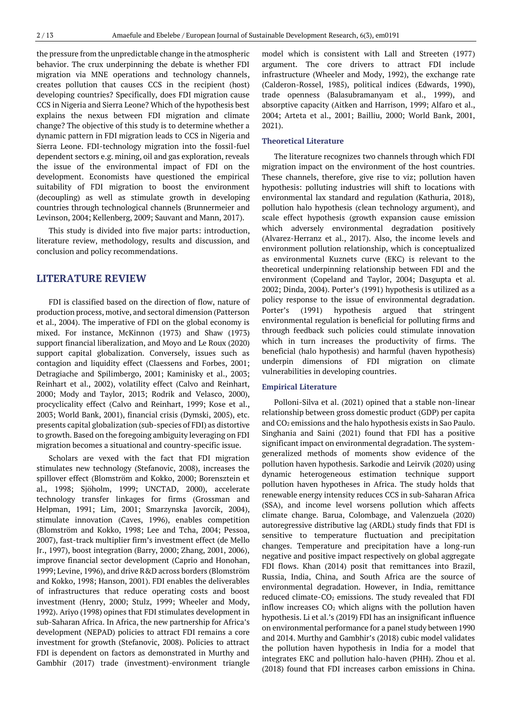the pressure from the unpredictable change in the atmospheric behavior. The crux underpinning the debate is whether FDI migration via MNE operations and technology channels, creates pollution that causes CCS in the recipient (host) developing countries? Specifically, does FDI migration cause CCS in Nigeria and Sierra Leone? Which of the hypothesis best explains the nexus between FDI migration and climate change? The objective of this study is to determine whether a dynamic pattern in FDI migration leads to CCS in Nigeria and Sierra Leone. FDI-technology migration into the fossil-fuel dependent sectors e.g. mining, oil and gas exploration, reveals the issue of the environmental impact of FDI on the development. Economists have questioned the empirical suitability of FDI migration to boost the environment (decoupling) as well as stimulate growth in developing countries through technological channels (Brunnermeier and Levinson, 2004; Kellenberg, 2009; Sauvant and Mann, 2017).

This study is divided into five major parts: introduction, literature review, methodology, results and discussion, and conclusion and policy recommendations.

## **LITERATURE REVIEW**

FDI is classified based on the direction of flow, nature of production process, motive, and sectoral dimension (Patterson et al., 2004). The imperative of FDI on the global economy is mixed. For instance, McKinnon (1973) and Shaw (1973) support financial liberalization, and Moyo and Le Roux (2020) support capital globalization. Conversely, issues such as contagion and liquidity effect (Claessens and Forbes, 2001; Detragiache and Spilimbergo, 2001; Kaminisky et al., 2003; Reinhart et al., 2002), volatility effect (Calvo and Reinhart, 2000; Mody and Taylor, 2013; Rodrik and Velasco, 2000), procyclicality effect (Calvo and Reinhart, 1999; Kose et al., 2003; World Bank, 2001), financial crisis (Dymski, 2005), etc. presents capital globalization (sub-species of FDI) as distortive to growth. Based on the foregoing ambiguity leveraging on FDI migration becomes a situational and country-specific issue.

Scholars are vexed with the fact that FDI migration stimulates new technology (Stefanovic, 2008), increases the spillover effect (Blomström and Kokko, 2000; Borensztein et al., 1998; Sjöholm, 1999; UNCTAD, 2000), accelerate technology transfer linkages for firms (Grossman and Helpman, 1991; Lim, 2001; Smarzynska Javorcik, 2004), stimulate innovation (Caves, 1996), enables competition (Blomström and Kokko, 1998; Lee and Tcha, 2004; Pessoa, 2007), fast-track multiplier firm's investment effect (de Mello Jr., 1997), boost integration (Barry, 2000; Zhang, 2001, 2006), improve financial sector development (Caprio and Honohan, 1999; Levine, 1996), and drive R&D across borders (Blomström and Kokko, 1998; Hanson, 2001). FDI enables the deliverables of infrastructures that reduce operating costs and boost investment (Henry, 2000; Stulz, 1999; Wheeler and Mody, 1992). Ariyo (1998) opines that FDI stimulates development in sub-Saharan Africa. In Africa, the new partnership for Africa's development (NEPAD) policies to attract FDI remains a core investment for growth (Stefanovic, 2008). Policies to attract FDI is dependent on factors as demonstrated in Murthy and Gambhir (2017) trade (investment)-environment triangle model which is consistent with Lall and Streeten (1977) argument. The core drivers to attract FDI include infrastructure (Wheeler and Mody, 1992), the exchange rate (Calderon-Rossel, 1985), political indices (Edwards, 1990), trade openness (Balasubramanyam et al., 1999), and absorptive capacity (Aitken and Harrison, 1999; Alfaro et al., 2004; Arteta et al., 2001; Bailliu, 2000; World Bank, 2001, 2021).

#### **Theoretical Literature**

The literature recognizes two channels through which FDI migration impact on the environment of the host countries. These channels, therefore, give rise to viz; pollution haven hypothesis: polluting industries will shift to locations with environmental lax standard and regulation (Kathuria, 2018), pollution halo hypothesis (clean technology argument), and scale effect hypothesis (growth expansion cause emission which adversely environmental degradation positively (Alvarez-Herranz et al., 2017). Also, the income levels and environment pollution relationship, which is conceptualized as environmental Kuznets curve (EKC) is relevant to the theoretical underpinning relationship between FDI and the environment (Copeland and Taylor, 2004; Dasgupta et al. 2002; Dinda, 2004). Porter's (1991) hypothesis is utilized as a policy response to the issue of environmental degradation. Porter's (1991) hypothesis argued that stringent environmental regulation is beneficial for polluting firms and through feedback such policies could stimulate innovation which in turn increases the productivity of firms. The beneficial (halo hypothesis) and harmful (haven hypothesis) underpin dimensions of FDI migration on climate vulnerabilities in developing countries.

#### **Empirical Literature**

Polloni-Silva et al. (2021) opined that a stable non-linear relationship between gross domestic product (GDP) per capita and CO<sup>2</sup> emissions and the halo hypothesis exists in Sao Paulo. Singhania and Saini (2021) found that FDI has a positive significant impact on environmental degradation. The systemgeneralized methods of moments show evidence of the pollution haven hypothesis. Sarkodie and Leirvik (2020) using dynamic heterogeneous estimation technique support pollution haven hypotheses in Africa. The study holds that renewable energy intensity reduces CCS in sub-Saharan Africa (SSA), and income level worsens pollution which affects climate change. Barua, Colombage, and Valenzuela (2020) autoregressive distributive lag (ARDL) study finds that FDI is sensitive to temperature fluctuation and precipitation changes. Temperature and precipitation have a long-run negative and positive impact respectively on global aggregate FDI flows. Khan (2014) posit that remittances into Brazil, Russia, India, China, and South Africa are the source of environmental degradation. However, in India, remittance reduced climate-CO<sub>2</sub> emissions. The study revealed that FDI inflow increases  $CO<sub>2</sub>$  which aligns with the pollution haven hypothesis. Li et al.'s (2019) FDI has an insignificant influence on environmental performance for a panel study between 1990 and 2014. Murthy and Gambhir's (2018) cubic model validates the pollution haven hypothesis in India for a model that integrates EKC and pollution halo-haven (PHH). Zhou et al. (2018) found that FDI increases carbon emissions in China.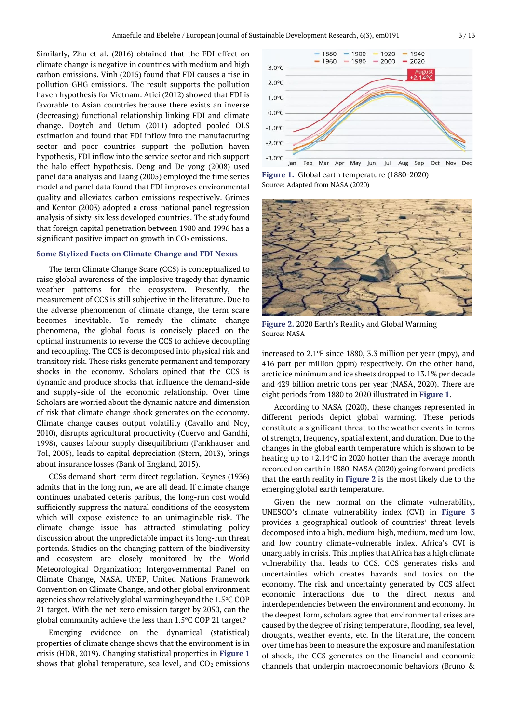Similarly, Zhu et al. (2016) obtained that the FDI effect on climate change is negative in countries with medium and high carbon emissions. Vinh (2015) found that FDI causes a rise in pollution-GHG emissions. The result supports the pollution haven hypothesis for Vietnam. Atici (2012) showed that FDI is favorable to Asian countries because there exists an inverse (decreasing) functional relationship linking FDI and climate change. Doytch and Uctum (2011) adopted pooled OLS estimation and found that FDI inflow into the manufacturing sector and poor countries support the pollution haven hypothesis, FDI inflow into the service sector and rich support the halo effect hypothesis. Deng and De-yong (2008) used panel data analysis and Liang (2005) employed the time series model and panel data found that FDI improves environmental quality and alleviates carbon emissions respectively. Grimes and Kentor (2003) adopted a cross-national panel regression analysis of sixty-six less developed countries. The study found that foreign capital penetration between 1980 and 1996 has a significant positive impact on growth in CO<sub>2</sub> emissions.

#### **Some Stylized Facts on Climate Change and FDI Nexus**

The term Climate Change Scare (CCS) is conceptualized to raise global awareness of the implosive tragedy that dynamic weather patterns for the ecosystem. Presently, the measurement of CCS is still subjective in the literature. Due to the adverse phenomenon of climate change, the term scare becomes inevitable. To remedy the climate change phenomena, the global focus is concisely placed on the optimal instruments to reverse the CCS to achieve decoupling and recoupling. The CCS is decomposed into physical risk and transitory risk. These risks generate permanent and temporary shocks in the economy. Scholars opined that the CCS is dynamic and produce shocks that influence the demand-side and supply-side of the economic relationship. Over time Scholars are worried about the dynamic nature and dimension of risk that climate change shock generates on the economy. Climate change causes output volatility (Cavallo and Noy, 2010), disrupts agricultural productivity (Cuervo and Gandhi, 1998), causes labour supply disequilibrium (Fankhauser and Tol, 2005), leads to capital depreciation (Stern, 2013), brings about insurance losses (Bank of England, 2015).

CCSs demand short-term direct regulation. Keynes (1936) admits that in the long run, we are all dead. If climate change continues unabated ceteris paribus, the long-run cost would sufficiently suppress the natural conditions of the ecosystem which will expose existence to an unimaginable risk. The climate change issue has attracted stimulating policy discussion about the unpredictable impact its long-run threat portends. Studies on the changing pattern of the biodiversity and ecosystem are closely monitored by the World Meteorological Organization; Intergovernmental Panel on Climate Change, NASA, UNEP, United Nations Framework Convention on Climate Change, and other global environment agencies show relatively global warming beyond the  $1.5^{\circ}$ CCOP 21 target. With the net-zero emission target by 2050, can the global community achieve the less than  $1.5^{\circ}$ C COP 21 target?

Emerging evidence on the dynamical (statistical) properties of climate change shows that the environment is in crisis (HDR, 2019). Changing statistical properties in **Figure 1** shows that global temperature, sea level, and  $CO<sub>2</sub>$  emissions



Feb Mar Apr May Jun Aug Sep Oct Nov Dec Jul **Figure 1.** Global earth temperature (1880-2020)

Source: Adapted from NASA (2020)



**Figure 2.** 2020 Earth's Reality and Global Warming Source: NASA

increased to  $2.1^\circ$ F since 1880, 3.3 million per year (mpy), and 416 part per million (ppm) respectively. On the other hand, arctic ice minimum and ice sheets dropped to 13.1% per decade and 429 billion metric tons per year (NASA, 2020). There are eight periods from 1880 to 2020 illustrated in **Figure 1**.

According to NASA (2020), these changes represented in different periods depict global warming. These periods constitute a significant threat to the weather events in terms of strength, frequency, spatial extent, and duration. Due to the changes in the global earth temperature which is shown to be heating up to  $+2.14$ °C in 2020 hotter than the average month recorded on earth in 1880. NASA (2020) going forward predicts that the earth reality in **Figure 2** is the most likely due to the emerging global earth temperature.

Given the new normal on the climate vulnerability, UNESCO's climate vulnerability index (CVI) in **Figure 3** provides a geographical outlook of countries' threat levels decomposed into a high, medium-high, medium, medium-low, and low country climate-vulnerable index. Africa's CVI is unarguably in crisis. This implies that Africa has a high climate vulnerability that leads to CCS. CCS generates risks and uncertainties which creates hazards and toxics on the economy. The risk and uncertainty generated by CCS affect economic interactions due to the direct nexus and interdependencies between the environment and economy. In the deepest form, scholars agree that environmental crises are caused by the degree of rising temperature, flooding, sea level, droughts, weather events, etc. In the literature, the concern over time has been to measure the exposure and manifestation of shock, the CCS generates on the financial and economic channels that underpin macroeconomic behaviors (Bruno &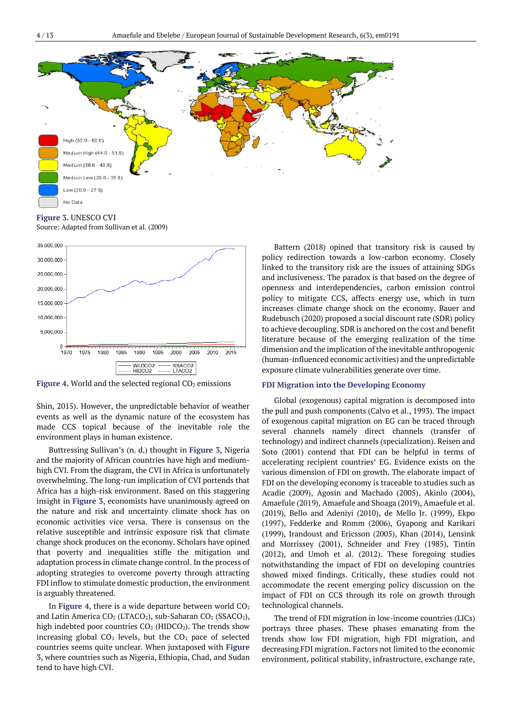

**Figure 3.** UNESCO CVI

Source: Adapted from Sullivan et al. (2009)



Figure 4. World and the selected regional CO<sub>2</sub> emissions

Shin, 2015). However, the unpredictable behavior of weather events as well as the dynamic nature of the ecosystem has made CCS topical because of the inevitable role the environment plays in human existence.

Buttressing Sullivan's (n. d.) thought in **Figure 3**, Nigeria and the majority of African countries have high and mediumhigh CVI. From the diagram, the CVI in Africa is unfortunately overwhelming. The long-run implication of CVI portends that Africa has a high-risk environment. Based on this staggering insight in **Figure 3**, economists have unanimously agreed on the nature and risk and uncertainty climate shock has on economic activities vice versa. There is consensus on the relative susceptible and intrinsic exposure risk that climate change shock produces on the economy. Scholars have opined that poverty and inequalities stifle the mitigation and adaptation process in climate change control. In the process of adopting strategies to overcome poverty through attracting FDI inflow to stimulate domestic production, the environment is arguably threatened.

In **Figure 4**, there is a wide departure between world  $CO<sub>2</sub>$ and Latin America CO<sub>2</sub> (LTACO<sub>2</sub>), sub-Saharan CO<sub>2</sub> (SSACO<sub>2</sub>), high indebted poor countries  $CO<sub>2</sub>$  (HIDCO<sub>2</sub>). The trends show increasing global  $CO<sub>2</sub>$  levels, but the  $CO<sub>2</sub>$  pace of selected countries seems quite unclear. When juxtaposed with **Figure 3**, where countries such as Nigeria, Ethiopia, Chad, and Sudan tend to have high CVI.

Battern (2018) opined that transitory risk is caused by policy redirection towards a low-carbon economy. Closely linked to the transitory risk are the issues of attaining SDGs and inclusiveness. The paradox is that based on the degree of openness and interdependencies, carbon emission control policy to mitigate CCS, affects energy use, which in turn increases climate change shock on the economy. Bauer and Rudebusch (2020) proposed a social discount rate (SDR) policy to achieve decoupling. SDR is anchored on the cost and benefit literature because of the emerging realization of the time dimension and the implication of the inevitable anthropogenic (human-influenced economic activities) and the unpredictable exposure climate vulnerabilities generate over time.

#### **FDI Migration into the Developing Economy**

Global (exogenous) capital migration is decomposed into the pull and push components (Calvo et al., 1993). The impact of exogenous capital migration on EG can be traced through several channels namely direct channels (transfer of technology) and indirect channels (specialization). Reisen and Soto (2001) contend that FDI can be helpful in terms of accelerating recipient countries' EG. Evidence exists on the various dimension of FDI on growth. The elaborate impact of FDI on the developing economy is traceable to studies such as Acadie (2009), Agosin and Machado (2005), Akinlo (2004), Amaefule (2019), Amaefule and Shoaga (2019), Amaefule et al. (2019), Bello and Adeniyi (2010), de Mello Jr. (1999), Ekpo (1997), Fedderke and Romm (2006), Gyapong and Karikari (1999), Irandoust and Ericsson (2005), Khan (2014), Lensink and Morrissey (2001), Schneider and Frey (1985), Tintin (2012), and Umoh et al. (2012). These foregoing studies notwithstanding the impact of FDI on developing countries showed mixed findings. Critically, these studies could not accommodate the recent emerging policy discussion on the impact of FDI on CCS through its role on growth through technological channels.

The trend of FDI migration in low-income countries (LICs) portrays three phases. These phases emanating from the trends show low FDI migration, high FDI migration, and decreasing FDI migration. Factors not limited to the economic environment, political stability, infrastructure, exchange rate,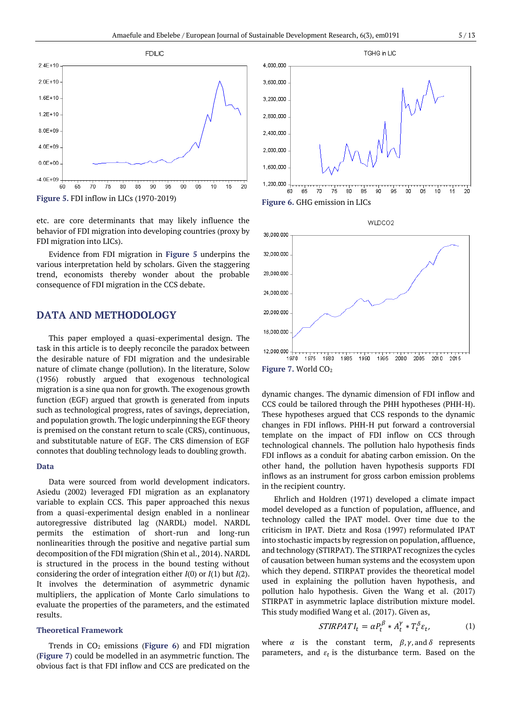

etc. are core determinants that may likely influence the behavior of FDI migration into developing countries (proxy by FDI migration into LICs).

Evidence from FDI migration in **Figure 5** underpins the various interpretation held by scholars. Given the staggering trend, economists thereby wonder about the probable consequence of FDI migration in the CCS debate.

# **DATA AND METHODOLOGY**

This paper employed a quasi-experimental design. The task in this article is to deeply reconcile the paradox between the desirable nature of FDI migration and the undesirable nature of climate change (pollution). In the literature, Solow (1956) robustly argued that exogenous technological migration is a sine qua non for growth. The exogenous growth function (EGF) argued that growth is generated from inputs such as technological progress, rates of savings, depreciation, and population growth. The logic underpinning the EGF theory is premised on the constant return to scale (CRS), continuous, and substitutable nature of EGF. The CRS dimension of EGF connotes that doubling technology leads to doubling growth.

#### **Data**

Data were sourced from world development indicators. Asiedu (2002) leveraged FDI migration as an explanatory variable to explain CCS. This paper approached this nexus from a quasi-experimental design enabled in a nonlinear autoregressive distributed lag (NARDL) model. NARDL permits the estimation of short-run and long-run nonlinearities through the positive and negative partial sum decomposition of the FDI migration (Shin et al., 2014). NARDL is structured in the process in the bound testing without considering the order of integration either *I*(0) or *I*(1) but *I*(2). It involves the determination of asymmetric dynamic multipliers, the application of Monte Carlo simulations to evaluate the properties of the parameters, and the estimated results.

#### **Theoretical Framework**

Trends in CO<sup>2</sup> emissions (**Figure 6**) and FDI migration (**Figure 7**) could be modelled in an asymmetric function. The obvious fact is that FDI inflow and CCS are predicated on the





dynamic changes. The dynamic dimension of FDI inflow and CCS could be tailored through the PHH hypotheses (PHH-H). These hypotheses argued that CCS responds to the dynamic changes in FDI inflows. PHH-H put forward a controversial template on the impact of FDI inflow on CCS through technological channels. The pollution halo hypothesis finds FDI inflows as a conduit for abating carbon emission. On the other hand, the pollution haven hypothesis supports FDI inflows as an instrument for gross carbon emission problems in the recipient country.

Ehrlich and Holdren (1971) developed a climate impact model developed as a function of population, affluence, and technology called the IPAT model. Over time due to the criticism in IPAT. Dietz and Rosa (1997) reformulated IPAT into stochastic impacts by regression on population, affluence, and technology (STIRPAT). The STIRPAT recognizes the cycles of causation between human systems and the ecosystem upon which they depend. STIRPAT provides the theoretical model used in explaining the pollution haven hypothesis, and pollution halo hypothesis. Given the Wang et al. (2017) STIRPAT in asymmetric laplace distribution mixture model. This study modified Wang et al. (2017). Given as,

$$
STIRPATH_t = \alpha P_t^{\beta} * A_t^{\gamma} * T_t^{\delta} \varepsilon_t, \qquad (1)
$$

where  $\alpha$  is the constant term,  $\beta$ ,  $\gamma$ , and  $\delta$  represents parameters, and  $\varepsilon_t$  is the disturbance term. Based on the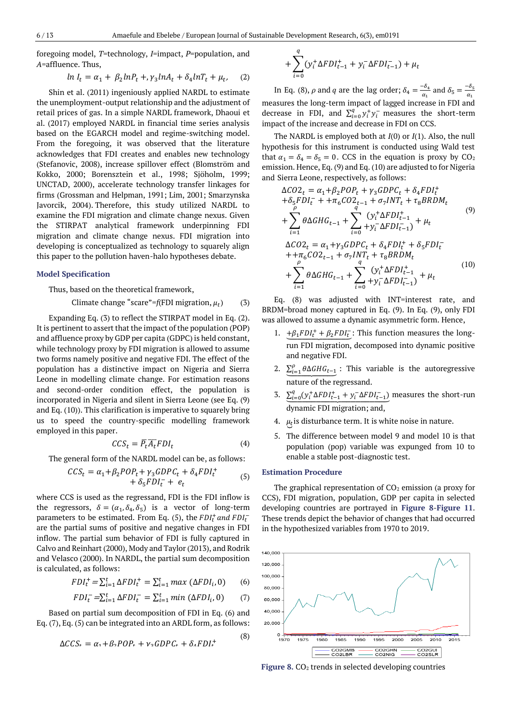foregoing model, *T*=technology, *I*=impact, *P*=population, and *A*=affluence. Thus,

$$
ln I_t = \alpha_1 + \beta_2 ln P_t + \gamma_3 ln A_t + \delta_4 ln T_t + \mu_t, \quad (2)
$$

Shin et al. (2011) ingeniously applied NARDL to estimate the unemployment-output relationship and the adjustment of retail prices of gas. In a simple NARDL framework, Dhaoui et al. (2017) employed NARDL in financial time series analysis based on the EGARCH model and regime-switching model. From the foregoing, it was observed that the literature acknowledges that FDI creates and enables new technology (Stefanovic, 2008), increase spillover effect (Blomström and Kokko, 2000; Borensztein et al., 1998; Sjöholm, 1999; UNCTAD, 2000), accelerate technology transfer linkages for firms (Grossman and Helpman, 1991; Lim, 2001; Smarzynska Javorcik, 2004). Therefore, this study utilized NARDL to examine the FDI migration and climate change nexus. Given the STIRPAT analytical framework underpinning FDI migration and climate change nexus. FDI migration into developing is conceptualized as technology to squarely align this paper to the pollution haven-halo hypotheses debate.

#### **Model Specification**

Thus, based on the theoretical framework,

$$
Climate change "scale" = f(FDI migration, \mu_t)
$$
 (3)

Expanding Eq. (3) to reflect the STIRPAT model in Eq. (2). It is pertinent to assert that the impact of the population (POP) and affluence proxy by GDP per capita (GDPC) is held constant, while technology proxy by FDI migration is allowed to assume two forms namely positive and negative FDI. The effect of the population has a distinctive impact on Nigeria and Sierra Leone in modelling climate change. For estimation reasons and second-order condition effect, the population is incorporated in Nigeria and silent in Sierra Leone (see Eq. (9) and Eq. (10)). This clarification is imperative to squarely bring us to speed the country-specific modelling framework employed in this paper.

$$
CCS_t = \overline{P_t} \overline{A_t} F D I_t \tag{4}
$$

The general form of the NARDL model can be, as follows:

$$
CCS_t = \alpha_1 + \beta_2 POP_t + \gamma_3 GDPC_t + \delta_4 FDI_t^+ + \delta_5 FDI_t^- + e_t \tag{5}
$$

where CCS is used as the regressand, FDI is the FDI inflow is the regressors,  $\delta = (\alpha_1, \delta_4, \delta_5)$  is a vector of long-term parameters to be estimated. From Eq. (5), the  $FDI_t^+$  and  $FDI_t^$ are the partial sums of positive and negative changes in FDI inflow. The partial sum behavior of FDI is fully captured in Calvo and Reinhart (2000), Mody and Taylor (2013), and Rodrik and Velasco (2000). In NARDL, the partial sum decomposition is calculated, as follows:

$$
FDI_t^+ = \sum_{i=1}^t \Delta FDI_t^+ = \sum_{i=1}^t max(\Delta FDI_i, 0) \qquad (6)
$$

$$
FDI_t^- = \sum_{i=1}^t \Delta FDI_t^- = \sum_{i=1}^t min(\Delta FDI_i, 0) \qquad (7)
$$

Based on partial sum decomposition of FDI in Eq. (6) and Eq. (7), Eq. (5) can be integrated into an ARDL form, as follows:

$$
\Delta CCS_r = \alpha_1 + \beta_2 POP_r + \nu_2 GDPC_r + \delta_A FDI_r^+ \tag{8}
$$

$$
+\sum_{i=0}^{q} (y_i^+ \Delta FDI_{t-1}^+ + y_i^- \Delta FDI_{t-1}^-) + \mu_t
$$

In Eq. (8),  $\rho$  and  $q$  are the lag order;  $\delta_4 = \frac{-\delta_4}{\sigma_4}$  $\frac{-\delta_4}{\alpha_1}$  and  $\delta_5 = \frac{-\delta_5}{\alpha_1}$  $\alpha_1$ measures the long-term impact of lagged increase in FDI and decrease in FDI, and  $\sum_{i=0}^{q} y_i^+ y_i^-$  measures the short-term impact of the increase and decrease in FDI on CCS.

The NARDL is employed both at *I*(0) or *I*(1). Also, the null hypothesis for this instrument is conducted using Wald test that  $\alpha_1 = \delta_4 = \delta_5 = 0$ . CCS in the equation is proxy by CO<sub>2</sub> emission. Hence, Eq. (9) and Eq. (10) are adjusted to for Nigeria and Sierra Leone, respectively, as follows:

$$
\Delta CO2_t = \alpha_1 + \beta_2 POP_t + \gamma_3 GDPC_t + \delta_4 FDI_t^+ + \delta_5 FDI_t^- + \tau_{6} CO2_{t-1} + \sigma_7 INT_t + \tau_8 BRDM_t
$$
  
+ 
$$
\sum_{i=1}^{\rho} \theta \Delta GHG_{t-1} + \sum_{i=0}^{\sigma} (y_i^+ \Delta FDI_{t-1}^+) + \mu_t
$$
  

$$
\Delta CO2_t = \alpha_1 + \gamma_3 GDPC_t + \delta_4 FDI_t^+ + \delta_5 FDI_t^- + \tau_{6} CO2_{t-1} + \sigma_7 INT_t + \tau_8 BRDM_t
$$
  
+ 
$$
\sum_{i=1}^{\rho} \theta \Delta GHG_{t-1} + \sum_{i=0}^{\sigma} (y_i^+ \Delta FDI_{t-1}^+) + \mu_t
$$
 (10)

Eq. (8) was adjusted with INT=interest rate, and BRDM=broad money captured in Eq. (9). In Eq. (9), only FDI was allowed to assume a dynamic asymmetric form. Hence,

- 1.  $+\beta_1 FDI_t^+ + \beta_2 FDI_t^-$ : This function measures the longrun FDI migration, decomposed into dynamic positive and negative FDI.
- 2.  $\sum_{i=1}^{p} \theta \Delta GHG_{t-1}$ : This variable is the autoregressive nature of the regressand.
- 3.  $\Sigma_{i=0}^{q}(y_i^+ \Delta FDI_{t-1}^+ + y_i^- \Delta FDI_{t-1}^-)$  measures the short-run dynamic FDI migration; and,
- 4.  $\mu_t$ is disturbance term. It is white noise in nature.
- 5. The difference between model 9 and model 10 is that population (pop) variable was expunged from 10 to enable a stable post-diagnostic test.

#### **Estimation Procedure**

The graphical representation of  $CO<sub>2</sub>$  emission (a proxy for CCS), FDI migration, population, GDP per capita in selected developing countries are portrayed in **Figure 8**-**Figure 11**. These trends depict the behavior of changes that had occurred in the hypothesized variables from 1970 to 2019.



**Figure 8.** CO<sup>2</sup> trends in selected developing countries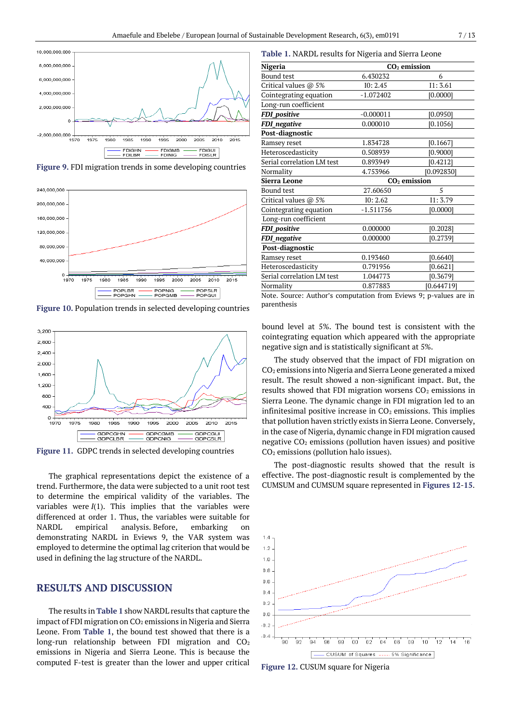

**Figure 9.** FDI migration trends in some developing countries



**Figure 10.** Population trends in selected developing countries



**Figure 11.** GDPC trends in selected developing countries

The graphical representations depict the existence of a trend. Furthermore, the data were subjected to a unit root test to determine the empirical validity of the variables. The variables were  $I(1)$ . This implies that the variables were differenced at order 1. Thus, the variables were suitable for NARDL empirical analysis. Before, embarking on demonstrating NARDL in Eviews 9, the VAR system was employed to determine the optimal lag criterion that would be used in defining the lag structure of the NARDL.

### **RESULTS AND DISCUSSION**

The results in **Table 1** show NARDL results that capture the impact of FDI migration on  $CO<sub>2</sub>$  emissions in Nigeria and Sierra Leone. From **Table 1**, the bound test showed that there is a long-run relationship between FDI migration and CO<sub>2</sub> emissions in Nigeria and Sierra Leone. This is because the computed F-test is greater than the lower and upper critical

|  | Table 1. NARDL results for Nigeria and Sierra Leone |  |  |  |  |  |  |
|--|-----------------------------------------------------|--|--|--|--|--|--|
|--|-----------------------------------------------------|--|--|--|--|--|--|

| Nigeria                    | $CO2$ emission |            |  |  |
|----------------------------|----------------|------------|--|--|
| <b>Bound test</b>          | 6.430232       | 6          |  |  |
| Critical values @ 5%       | IO: 2.45       | I1: 3.61   |  |  |
| Cointegrating equation     | $-1.072402$    | [0.0000]   |  |  |
| Long-run coefficient       |                |            |  |  |
| <b>FDI_positive</b>        | $-0.000011$    | [0.0950]   |  |  |
| FDI_negative               | 0.000010       | [0.1056]   |  |  |
| Post-diagnostic            |                |            |  |  |
| Ramsey reset               | 1.834728       | [0.1667]   |  |  |
| Heteroscedasticity         | 0.508939       | [0.9000]   |  |  |
| Serial correlation LM test | 0.893949       | [0.4212]   |  |  |
| Normality                  | 4.753966       | [0.092830] |  |  |
| Sierra Leone               | $CO2$ emission |            |  |  |
| <b>Bound test</b>          | 27.60650       | 5          |  |  |
| Critical values @ 5%       | IO: 2.62       | I1: 3.79   |  |  |
| Cointegrating equation     | $-1.511756$    | [0.0000]   |  |  |
| Long-run coefficient       |                |            |  |  |
| <b>FDI_positive</b>        | 0.000000       | [0.2028]   |  |  |
| FDI_negative               | 0.000000       | [0.2739]   |  |  |
| Post-diagnostic            |                |            |  |  |
| Ramsey reset               | 0.193460       | [0.6640]   |  |  |
| Heteroscedasticity         | 0.791956       | [0.6621]   |  |  |
| Serial correlation LM test | 1.044773       | [0.3679]   |  |  |
| Normality                  | 0.877883       | [0.644719] |  |  |

Note. Source: Author's computation from Eviews 9; p-values are in parenthesis

bound level at 5%. The bound test is consistent with the cointegrating equation which appeared with the appropriate negative sign and is statistically significant at 5%.

The study observed that the impact of FDI migration on CO<sup>2</sup> emissions into Nigeria and Sierra Leone generated a mixed result. The result showed a non-significant impact. But, the results showed that FDI migration worsens  $CO<sub>2</sub>$  emissions in Sierra Leone. The dynamic change in FDI migration led to an infinitesimal positive increase in  $CO<sub>2</sub>$  emissions. This implies that pollution haven strictly exists in Sierra Leone. Conversely, in the case of Nigeria, dynamic change in FDI migration caused negative  $CO<sub>2</sub>$  emissions (pollution haven issues) and positive  $CO<sub>2</sub>$  emissions (pollution halo issues).

The post-diagnostic results showed that the result is effective. The post-diagnostic result is complemented by the CUMSUM and CUMSUM square represented in **Figures 12**-**15**.



**Figure 12.** CUSUM square for Nigeria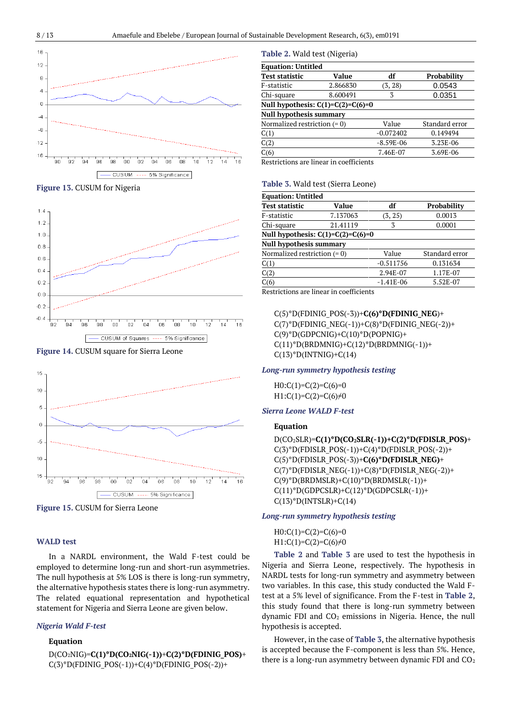

#### **Figure 13.** CUSUM for Nigeria



**Figure 14.** CUSUM square for Sierra Leone



**Figure 15.** CUSUM for Sierra Leone

#### **WALD test**

In a NARDL environment, the Wald F-test could be employed to determine long-run and short-run asymmetries. The null hypothesis at 5% LOS is there is long-run symmetry, the alternative hypothesis states there is long-run asymmetry. The related equational representation and hypothetical statement for Nigeria and Sierra Leone are given below.

#### *Nigeria Wald F-test*

#### **Equation**

D(CO2NIG)=**C(1)\*D(CO2NIG(-1))**+**C(2)\*D(FDINIG\_POS)**+  $C(3)*D(FDINIG_POS(-1))+C(4)*D(FDINIG_POS(-2))+$ 

#### **Table 2.** Wald test (Nigeria)

| <b>Equation: Untitled</b>           |          |             |                    |  |
|-------------------------------------|----------|-------------|--------------------|--|
| <b>Test statistic</b>               | Value    | df          | <b>Probability</b> |  |
| F-statistic                         | 2.866830 | (3, 28)     | 0.0543             |  |
| Chi-square                          | 8.600491 | 3           | 0.0351             |  |
| Null hypothesis: $C(1)=C(2)=C(6)=0$ |          |             |                    |  |
| <b>Null hypothesis summary</b>      |          |             |                    |  |
| Normalized restriction $(= 0)$      |          | Value       | Standard error     |  |
| C(1)                                |          | $-0.072402$ | 0.149494           |  |
| C(2)                                |          | $-8.59E-06$ | 3.23E-06           |  |
| C(6)                                |          | 7.46E-07    | 3.69E-06           |  |

Restrictions are linear in coefficients

#### **Table 3.** Wald test (Sierra Leone)

| <b>Equation: Untitled</b>           |          |             |                    |  |
|-------------------------------------|----------|-------------|--------------------|--|
| <b>Test statistic</b>               | Value    | df          | <b>Probability</b> |  |
| F-statistic                         | 7.137063 | (3, 25)     | 0.0013             |  |
| Chi-square                          | 21.41119 | 3           | 0.0001             |  |
| Null hypothesis: $C(1)=C(2)=C(6)=0$ |          |             |                    |  |
| <b>Null hypothesis summary</b>      |          |             |                    |  |
| Normalized restriction $(= 0)$      |          | Value       | Standard error     |  |
| C(1)                                |          | $-0.511756$ | 0.131634           |  |
| C(2)                                |          | 2.94E-07    | 1.17E-07           |  |
| C(6)                                |          | $-1.41E-06$ | 5.52E-07           |  |

Restrictions are linear in coefficients

C(5)\*D(FDINIG\_POS(-3))+**C(6)\*D(FDINIG\_NEG**)+  $C(7)*D(FDINIG_NEG(-1))+C(8)*D(FDINIG_NEG(-2))+$  $C(9)$ \*D(GDPCNIG)+C(10)\*D(POPNIG)+  $C(11)*D(BRDMNIG)+C(12)*D(BRDMNIG(-1))+$  $C(13)*D(INTNIG)+C(14)$ 

#### *Long-run symmetry hypothesis testing*

 $H0:C(1)=C(2)=C(6)=0$ H1: $C(1)=C(2)=C(6)\neq0$ 

#### *Sierra Leone WALD F-test*

#### **Equation**

D(CO2SLR)=**C(1)\*D(CO2SLR(-1))+C(2)\*D(FDISLR\_POS)**+  $C(3)$ \*D(FDISLR\_POS(-1))+C(4)\*D(FDISLR\_POS(-2))+ C(5)\*D(FDISLR\_POS(-3))+**C(6)\*D(FDISLR\_NEG)**+ C(7)\*D(FDISLR\_NEG(-1))+C(8)\*D(FDISLR\_NEG(-2))+  $C(9)$ \*D(BRDMSLR)+C(10)\*D(BRDMSLR(-1))+  $C(11)*D(GDPCSLR)+C(12)*D(GDPCSLR(-1))+$  $C(13)*D(INTSLR)+C(14)$ 

#### *Long-run symmetry hypothesis testing*

 $H0:C(1)=C(2)=C(6)=0$  $H1:C(1)=C(2)=C(6)\neq 0$ 

**Table 2** and **Table 3** are used to test the hypothesis in Nigeria and Sierra Leone, respectively. The hypothesis in NARDL tests for long-run symmetry and asymmetry between two variables. In this case, this study conducted the Wald Ftest at a 5% level of significance. From the F-test in **Table 2**, this study found that there is long-run symmetry between dynamic FDI and  $CO<sub>2</sub>$  emissions in Nigeria. Hence, the null hypothesis is accepted.

However, in the case of **Table 3**, the alternative hypothesis is accepted because the F-component is less than 5%. Hence, there is a long-run asymmetry between dynamic FDI and  $CO<sub>2</sub>$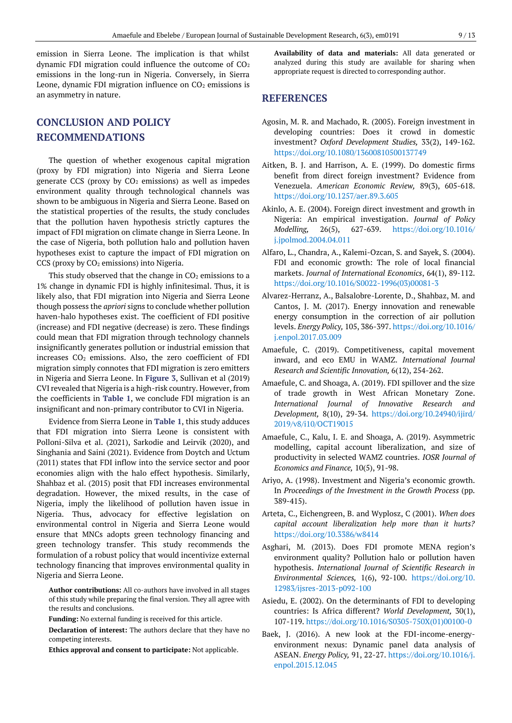emission in Sierra Leone. The implication is that whilst dynamic FDI migration could influence the outcome of  $CO<sub>2</sub>$ emissions in the long-run in Nigeria. Conversely, in Sierra Leone, dynamic FDI migration influence on  $CO<sub>2</sub>$  emissions is an asymmetry in nature.

# **CONCLUSION AND POLICY RECOMMENDATIONS**

The question of whether exogenous capital migration (proxy by FDI migration) into Nigeria and Sierra Leone generate CCS (proxy by  $CO<sub>2</sub>$  emissions) as well as impedes environment quality through technological channels was shown to be ambiguous in Nigeria and Sierra Leone. Based on the statistical properties of the results, the study concludes that the pollution haven hypothesis strictly captures the impact of FDI migration on climate change in Sierra Leone. In the case of Nigeria, both pollution halo and pollution haven hypotheses exist to capture the impact of FDI migration on CCS (proxy by CO<sub>2</sub> emissions) into Nigeria.

This study observed that the change in  $CO<sub>2</sub>$  emissions to a 1% change in dynamic FDI is highly infinitesimal. Thus, it is likely also, that FDI migration into Nigeria and Sierra Leone though possess the *apriori* signs to conclude whether pollution haven-halo hypotheses exist. The coefficient of FDI positive (increase) and FDI negative (decrease) is zero. These findings could mean that FDI migration through technology channels insignificantly generates pollution or industrial emission that increases  $CO<sub>2</sub>$  emissions. Also, the zero coefficient of FDI migration simply connotes that FDI migration is zero emitters in Nigeria and Sierra Leone. In **Figure 3**, Sullivan et al (2019) CVI revealed that Nigeria is a high-risk country. However, from the coefficients in **Table 1**, we conclude FDI migration is an insignificant and non-primary contributor to CVI in Nigeria.

Evidence from Sierra Leone in **Table 1**, this study adduces that FDI migration into Sierra Leone is consistent with Polloni-Silva et al. (2021), Sarkodie and Leirvik (2020), and Singhania and Saini (2021). Evidence from Doytch and Uctum (2011) states that FDI inflow into the service sector and poor economies align with the halo effect hypothesis. Similarly, Shahbaz et al. (2015) posit that FDI increases environmental degradation. However, the mixed results, in the case of Nigeria, imply the likelihood of pollution haven issue in Nigeria. Thus, advocacy for effective legislation on environmental control in Nigeria and Sierra Leone would ensure that MNCs adopts green technology financing and green technology transfer. This study recommends the formulation of a robust policy that would incentivize external technology financing that improves environmental quality in Nigeria and Sierra Leone.

**Author contributions:** All co-authors have involved in all stages of this study while preparing the final version. They all agree with the results and conclusions.

**Funding:** No external funding is received for this article.

**Declaration of interest:** The authors declare that they have no competing interests.

**Ethics approval and consent to participate:** Not applicable.

**Availability of data and materials:** All data generated or analyzed during this study are available for sharing when appropriate request is directed to corresponding author.

### **REFERENCES**

- Agosin, M. R. and Machado, R. (2005). Foreign investment in developing countries: Does it crowd in domestic investment? *Oxford Development Studies,* 33(2), 149-162. <https://doi.org/10.1080/13600810500137749>
- Aitken, B. J. and Harrison, A. E. (1999). Do domestic firms benefit from direct foreign investment? Evidence from Venezuela. *American Economic Review,* 89(3), 605-618. <https://doi.org/10.1257/aer.89.3.605>
- Akinlo, A. E. (2004). Foreign direct investment and growth in Nigeria: An empirical investigation. *Journal of Policy Modelling,* 26(5), 627-639. [https://doi.org/10.1016/](https://doi.org/10.1016/j.jpolmod.2004.04.011) [j.jpolmod.2004.04.011](https://doi.org/10.1016/j.jpolmod.2004.04.011)
- Alfaro, L., Chandra, A., Kalemi-Ozcan, S. and Sayek, S. (2004). FDI and economic growth: The role of local financial markets. *Journal of International Economics*, 64(1), 89-112. [https://doi.org/10.1016/S0022-1996\(03\)00081-3](https://doi.org/10.1016/S0022-1996(03)00081-3)
- Alvarez-Herranz, A., Balsalobre-Lorente, D., Shahbaz, M. and Cantos, J. M. (2017). Energy innovation and renewable energy consumption in the correction of air pollution levels. *Energy Policy,* 105, 386-397[. https://doi.org/10.1016/](https://doi.org/10.1016/j.enpol.2017.03.009) [j.enpol.2017.03.009](https://doi.org/10.1016/j.enpol.2017.03.009)
- Amaefule, C. (2019). Competitiveness, capital movement inward, and eco EMU in WAMZ. *International Journal Research and Scientific Innovation,* 6(12), 254-262.
- Amaefule, C. and Shoaga, A. (2019). FDI spillover and the size of trade growth in West African Monetary Zone. *International Journal of Innovative Research and Development,* 8(10), 29-34. [https://doi.org/10.24940/ijird/](https://doi.org/10.24940/ijird/2019/v8/i10/OCT19015) [2019/v8/i10/OCT19015](https://doi.org/10.24940/ijird/2019/v8/i10/OCT19015)
- Amaefule, C., Kalu, I. E. and Shoaga, A. (2019). Asymmetric modelling, capital account liberalization, and size of productivity in selected WAMZ countries. *IOSR Journal of Economics and Finance,* 10(5), 91-98.
- Ariyo, A. (1998). Investment and Nigeria's economic growth. In *Proceedings of the Investment in the Growth Process* (pp. 389-415).
- Arteta, C., Eichengreen, B. and Wyplosz, C (2001). *When does capital account liberalization help more than it hurts?* <https://doi.org/10.3386/w8414>
- Asghari, M. (2013). Does FDI promote MENA region's environment quality? Pollution halo or pollution haven hypothesis. *International Journal of Scientific Research in Environmental Sciences,* 1(6), 92-100. [https://doi.org/10.](https://doi.org/10.12983/ijsres-2013-p092-100) [12983/ijsres-2013-p092-100](https://doi.org/10.12983/ijsres-2013-p092-100)
- Asiedu, E. (2002). On the determinants of FDI to developing countries: Is Africa different? *World Development,* 30(1), 107-119. [https://doi.org/10.1016/S0305-750X\(01\)00100-0](https://doi.org/10.1016/S0305-750X(01)00100-0)
- Baek, J. (2016). A new look at the FDI-income-energyenvironment nexus: Dynamic panel data analysis of ASEAN. *Energy Policy,* 91, 22-27. [https://doi.org/10.1016/j.](https://doi.org/10.1016/j.enpol.2015.12.045) [enpol.2015.12.045](https://doi.org/10.1016/j.enpol.2015.12.045)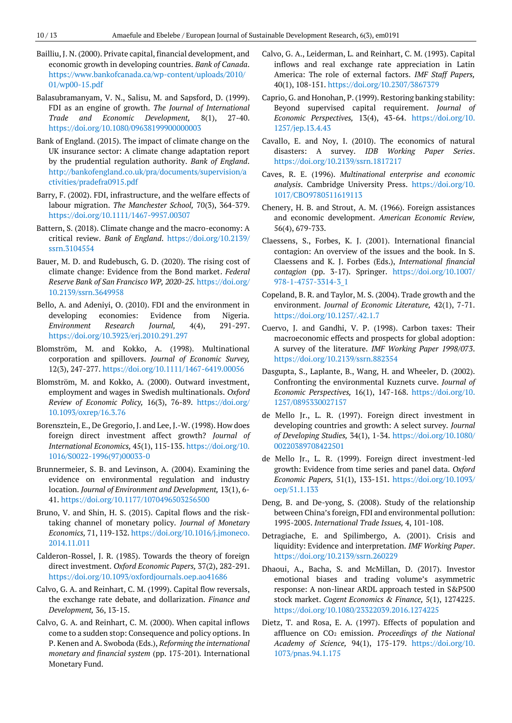- Bailliu, J. N. (2000). Private capital, financial development, and economic growth in developing countries. *Bank of Canada*. [https://www.bankofcanada.ca/wp-content/uploads/2010/](https://www.bankofcanada.ca/wp-content/uploads/2010/01/wp00-15.pdf) [01/wp00-15.pdf](https://www.bankofcanada.ca/wp-content/uploads/2010/01/wp00-15.pdf)
- Balasubramanyam, V. N., Salisu, M. and Sapsford, D. (1999). FDI as an engine of growth. *The Journal of International Trade and Economic Development,* 8(1), 27-40. <https://doi.org/10.1080/09638199900000003>
- Bank of England. (2015). The impact of climate change on the UK insurance sector: A climate change adaptation report by the prudential regulation authority. *Bank of England*. [http://bankofengland.co.uk/pra/documents/supervision/a](http://bankofengland.co.uk/pra/documents/supervision/activities/pradefra0915.pdf) [ctivities/pradefra0915.pdf](http://bankofengland.co.uk/pra/documents/supervision/activities/pradefra0915.pdf)
- Barry, F. (2002). FDI, infrastructure, and the welfare effects of labour migration. *The Manchester School,* 70(3), 364-379. <https://doi.org/10.1111/1467-9957.00307>
- Battern, S. (2018). Climate change and the macro-economy: A critical review. *Bank of England*. [https://doi.org/10.2139/](https://doi.org/10.2139/ssrn.3104554) [ssrn.3104554](https://doi.org/10.2139/ssrn.3104554)
- Bauer, M. D. and Rudebusch, G. D. (2020). The rising cost of climate change: Evidence from the Bond market. *Federal Reserve Bank of San Francisco WP, 2020-25.* [https://doi.org/](https://doi.org/10.2139/ssrn.3649958) [10.2139/ssrn.3649958](https://doi.org/10.2139/ssrn.3649958)
- Bello, A. and Adeniyi, O. (2010). FDI and the environment in developing economies: Evidence from Nigeria. *Environment Research Journal,* 4(4), 291-297. <https://doi.org/10.3923/erj.2010.291.297>
- Blomström, M. and Kokko, A. (1998). Multinational corporation and spillovers. *Journal of Economic Survey,*  12(3), 247-277. <https://doi.org/10.1111/1467-6419.00056>
- Blomström, M. and Kokko, A. (2000). Outward investment, employment and wages in Swedish multinationals. *Oxford Review of Economic Policy,* 16(3), 76-89. [https://doi.org/](https://doi.org/10.1093/oxrep/16.3.76) [10.1093/oxrep/16.3.76](https://doi.org/10.1093/oxrep/16.3.76)
- Borensztein, E., De Gregorio, J. and Lee, J.-W. (1998). How does foreign direct investment affect growth? *Journal of International Economics,* 45(1), 115-135. [https://doi.org/10.](https://doi.org/10.1016/S0022-1996(97)00033-0) [1016/S0022-1996\(97\)00033-0](https://doi.org/10.1016/S0022-1996(97)00033-0)
- Brunnermeier, S. B. and Levinson, A. (2004). Examining the evidence on environmental regulation and industry location. *Journal of Environment and Development,* 13(1), 6- 41.<https://doi.org/10.1177/1070496503256500>
- Bruno, V. and Shin, H. S. (2015). Capital flows and the risktaking channel of monetary policy. *Journal of Monetary Economics,* 71, 119-132[. https://doi.org/10.1016/j.jmoneco.](https://doi.org/10.1016/j.jmoneco.2014.11.011) [2014.11.011](https://doi.org/10.1016/j.jmoneco.2014.11.011)
- Calderon-Rossel, J. R. (1985). Towards the theory of foreign direct investment. *Oxford Economic Papers,* 37(2), 282-291. <https://doi.org/10.1093/oxfordjournals.oep.ao41686>
- Calvo, G. A. and Reinhart, C. M. (1999). Capital flow reversals, the exchange rate debate, and dollarization. *Finance and Development,* 36, 13-15.
- Calvo, G. A. and Reinhart, C. M. (2000). When capital inflows come to a sudden stop: Consequence and policy options. In P. Kenen and A. Swoboda (Eds.), *Reforming the international monetary and financial system* (pp. 175-201)*.* International Monetary Fund.
- Calvo, G. A., Leiderman, L. and Reinhart, C. M. (1993). Capital inflows and real exchange rate appreciation in Latin America: The role of external factors. *IMF Staff Papers,*  40(1), 108-151. <https://doi.org/10.2307/3867379>
- Caprio, G. and Honohan, P. (1999). Restoring banking stability: Beyond supervised capital requirement. *Journal of Economic Perspectives,* 13(4), 43-64. [https://doi.org/10.](https://doi.org/10.1257/jep.13.4.43) [1257/jep.13.4.43](https://doi.org/10.1257/jep.13.4.43)
- Cavallo, E. and Noy, I. (2010). The economics of natural disasters: A survey. *IDB Working Paper Series*. <https://doi.org/10.2139/ssrn.1817217>
- Caves, R. E. (1996). *Multinational enterprise and economic analysis*. Cambridge University Press. [https://doi.org/10.](https://doi.org/10.1017/CBO9780511619113) [1017/CBO9780511619113](https://doi.org/10.1017/CBO9780511619113)
- Chenery, H. B. and Strout, A. M. (1966). Foreign assistances and economic development. *American Economic Review,*  56(4), 679-733.
- Claessens, S., Forbes, K. J. (2001). International financial contagion: An overview of the issues and the book. In S. Claessens and K. J. Forbes (Eds.), *International financial contagion* (pp. 3-17). Springer. [https://doi.org/10.1007/](https://doi.org/10.1007/978-1-4757-3314-3_1) [978-1-4757-3314-3\\_1](https://doi.org/10.1007/978-1-4757-3314-3_1)
- Copeland, B. R. and Taylor, M. S. (2004). Trade growth and the environment. *Journal of Economic Literature,* 42(1), 7-71. <https://doi.org/10.1257/.42.1.7>
- Cuervo, J. and Gandhi, V. P. (1998). Carbon taxes: Their macroeconomic effects and prospects for global adoption: A survey of the literature. *IMF Working Paper 1998/073*. <https://doi.org/10.2139/ssrn.882354>
- Dasgupta, S., Laplante, B., Wang, H. and Wheeler, D. (2002). Confronting the environmental Kuznets curve. *Journal of Economic Perspectives,* 16(1), 147-168. [https://doi.org/10.](https://doi.org/10.1257/0895330027157) [1257/0895330027157](https://doi.org/10.1257/0895330027157)
- de Mello Jr., L. R. (1997). Foreign direct investment in developing countries and growth: A select survey. *Journal of Developing Studies,* 34(1), 1-34. [https://doi.org/10.1080/](https://doi.org/10.1080/00220389708422501) [00220389708422501](https://doi.org/10.1080/00220389708422501)
- de Mello Jr., L. R. (1999). Foreign direct investment-led growth: Evidence from time series and panel data. *Oxford Economic Papers,* 51(1), 133-151. [https://doi.org/10.1093/](https://doi.org/10.1093/oep/51.1.133) [oep/51.1.133](https://doi.org/10.1093/oep/51.1.133)
- Deng, B. and De-yong, S. (2008). Study of the relationship between China's foreign, FDI and environmental pollution: 1995-2005. *International Trade Issues,* 4, 101-108.
- Detragiache, E. and Spilimbergo, A. (2001). Crisis and liquidity: Evidence and interpretation. *IMF Working Paper*. <https://doi.org/10.2139/ssrn.260229>
- Dhaoui, A., Bacha, S. and McMillan, D. (2017). Investor emotional biases and trading volume's asymmetric response: A non-linear ARDL approach tested in S&P500 stock market. *Cogent Economics & Finance,* 5(1), 1274225. <https://doi.org/10.1080/23322039.2016.1274225>
- Dietz, T. and Rosa, E. A. (1997). Effects of population and affluence on CO<sup>2</sup> emission. *Proceedings of the National Academy of Science,* 94(1), 175-179. [https://doi.org/10.](https://doi.org/10.1073/pnas.94.1.175) [1073/pnas.94.1.175](https://doi.org/10.1073/pnas.94.1.175)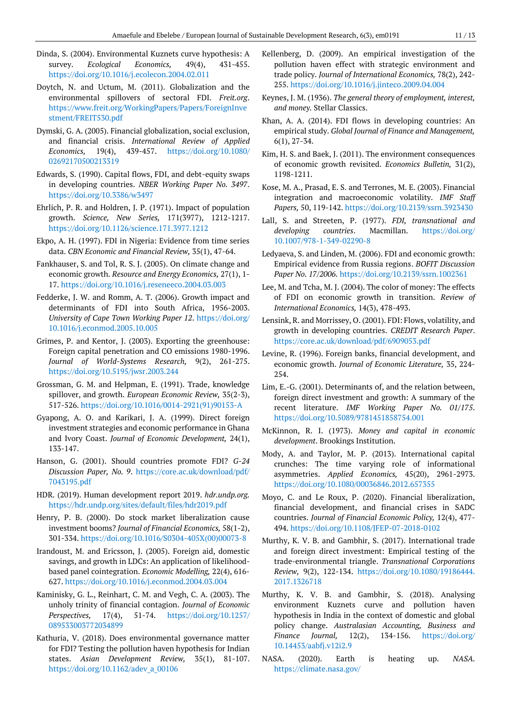- Dinda, S. (2004). Environmental Kuznets curve hypothesis: A survey. *Ecological Economics,* 49(4), 431-455. <https://doi.org/10.1016/j.ecolecon.2004.02.011>
- Doytch, N. and Uctum, M. (2011). Globalization and the environmental spillovers of sectoral FDI. *Freit.org*. [https://www.freit.org/WorkingPapers/Papers/ForeignInve](https://www.freit.org/WorkingPapers/Papers/ForeignInvestment/FREIT530.pdf) [stment/FREIT530.pdf](https://www.freit.org/WorkingPapers/Papers/ForeignInvestment/FREIT530.pdf)
- Dymski, G. A. (2005). Financial globalization, social exclusion, and financial crisis. *International Review of Applied Economics,* 19(4), 439-457. [https://doi.org/10.1080/](https://doi.org/10.1080/02692170500213319) [02692170500213319](https://doi.org/10.1080/02692170500213319)
- Edwards, S. (1990). Capital flows, FDI, and debt-equity swaps in developing countries. *NBER Working Paper No. 3497*. <https://doi.org/10.3386/w3497>
- Ehrlich, P. R. and Holdren, J. P. (1971). Impact of population growth. *Science, New Series,* 171(3977), 1212-1217. <https://doi.org/10.1126/science.171.3977.1212>
- Ekpo, A. H. (1997). FDI in Nigeria: Evidence from time series data. *CBN Economic and Financial Review,* 35(1), 47-64.
- Fankhauser, S. and Tol, R. S. J. (2005). On climate change and economic growth. *Resource and Energy Economics,* 27(1), 1- 17.<https://doi.org/10.1016/j.reseneeco.2004.03.003>
- Fedderke, J. W. and Romm, A. T. (2006). Growth impact and determinants of FDI into South Africa, 1956-2003. *University of Cape Town Working Paper 12*. [https://doi.org/](https://doi.org/10.1016/j.econmod.2005.10.005) [10.1016/j.econmod.2005.10.005](https://doi.org/10.1016/j.econmod.2005.10.005)
- Grimes, P. and Kentor, J. (2003). Exporting the greenhouse: Foreign capital penetration and CO emissions 1980-1996. *Journal of World-Systems Research,* 9(2), 261-275. <https://doi.org/10.5195/jwsr.2003.244>
- Grossman, G. M. and Helpman, E. (1991). Trade, knowledge spillover, and growth. *European Economic Review,* 35(2-3), 517-526. [https://doi.org/10.1016/0014-2921\(91\)90153-A](https://doi.org/10.1016/0014-2921(91)90153-A)
- Gyapong, A. O. and Karikari, J. A. (1999). Direct foreign investment strategies and economic performance in Ghana and Ivory Coast. *Journal of Economic Development,* 24(1), 133-147.
- Hanson, G. (2001). Should countries promote FDI? *G-24 Discussion Paper, No. 9*. [https://core.ac.uk/download/pdf/](https://core.ac.uk/download/pdf/7043195.pdf) [7043195.pdf](https://core.ac.uk/download/pdf/7043195.pdf)
- HDR. (2019). Human development report 2019. *hdr.undp.org.* <https://hdr.undp.org/sites/default/files/hdr2019.pdf>
- Henry, P. B. (2000). Do stock market liberalization cause investment booms? *Journal of Financial Economics,* 58(1-2), 301-334. [https://doi.org/10.1016/S0304-405X\(00\)00073-8](https://doi.org/10.1016/S0304-405X(00)00073-8)
- Irandoust, M. and Ericsson, J. (2005). Foreign aid, domestic savings, and growth in LDCs: An application of likelihoodbased panel cointegration. *Economic Modelling,* 22(4), 616- 627.<https://doi.org/10.1016/j.econmod.2004.03.004>
- Kaminisky, G. L., Reinhart, C. M. and Vegh, C. A. (2003). The unholy trinity of financial contagion. *Journal of Economic Perspectives,* 17(4), 51-74. [https://doi.org/10.1257/](https://doi.org/10.1257/089533003772034899) [089533003772034899](https://doi.org/10.1257/089533003772034899)
- Kathuria, V. (2018). Does environmental governance matter for FDI? Testing the pollution haven hypothesis for Indian states. *Asian Development Review,* 35(1), 81-107. [https://doi.org/10.1162/adev\\_a\\_00106](https://doi.org/10.1162/adev_a_00106)
- Kellenberg, D. (2009). An empirical investigation of the pollution haven effect with strategic environment and trade policy. *Journal of International Economics,* 78(2), 242- 255. <https://doi.org/10.1016/j.jinteco.2009.04.004>
- Keynes, J. M. (1936). *The general theory of employment, interest, and money.* Stellar Classics.
- Khan, A. A. (2014). FDI flows in developing countries: An empirical study. *Global Journal of Finance and Management,*  6(1), 27-34.
- Kim, H. S. and Baek, J. (2011). The environment consequences of economic growth revisited. *Economics Bulletin,* 31(2), 1198-1211.
- Kose, M. A., Prasad, E. S. and Terrones, M. E. (2003). Financial integration and macroeconomic volatility. *IMF Staff Papers,* 50, 119-142. <https://doi.org/10.2139/ssrn.3923430>
- Lall, S. and Streeten, P. (1977). *FDI, transnational and developing countries*. Macmillan. [https://doi.org/](https://doi.org/10.1007/978-1-349-02290-8) [10.1007/978-1-349-02290-8](https://doi.org/10.1007/978-1-349-02290-8)
- Ledyaeva, S. and Linden, M. (2006). FDI and economic growth: Empirical evidence from Russia regions. *BOFIT Discussion Paper No. 17/2006*[. https://doi.org/10.2139/ssrn.1002361](https://doi.org/10.2139/ssrn.1002361)
- Lee, M. and Tcha, M. J. (2004). The color of money: The effects of FDI on economic growth in transition. *Review of International Economics,* 14(3), 478-493.
- Lensink, R. and Morrissey, O. (2001). FDI: Flows, volatility, and growth in developing countries. *CREDIT Research Paper*. <https://core.ac.uk/download/pdf/6909053.pdf>
- Levine, R. (1996). Foreign banks, financial development, and economic growth. *Journal of Economic Literature,* 35, 224- 254.
- Lim, E.-G. (2001). Determinants of, and the relation between, foreign direct investment and growth: A summary of the recent literature. *IMF Working Paper No. 01/175*. <https://doi.org/10.5089/9781451858754.001>
- McKinnon, R. I. (1973). *Money and capital in economic development*. Brookings Institution.
- Mody, A. and Taylor, M. P. (2013). International capital crunches: The time varying role of informational asymmetries. *Applied Economics,* 45(20), 2961-2973. <https://doi.org/10.1080/00036846.2012.657355>
- Moyo, C. and Le Roux, P. (2020). Financial liberalization, financial development, and financial crises in SADC countries. *Journal of Financial Economic Policy,* 12(4), 477- 494.<https://doi.org/10.1108/JFEP-07-2018-0102>
- Murthy, K. V. B. and Gambhir, S. (2017). International trade and foreign direct investment: Empirical testing of the trade-environmental triangle. *Transnational Corporations Review,* 9(2), 122-134. [https://doi.org/10.1080/19186444.](https://doi.org/10.1080/19186444.2017.1326718) [2017.1326718](https://doi.org/10.1080/19186444.2017.1326718)
- Murthy, K. V. B. and Gambhir, S. (2018). Analysing environment Kuznets curve and pollution haven hypothesis in India in the context of domestic and global policy change. *Australasian Accounting, Business and Finance Journal,* 12(2), 134-156. [https://doi.org/](https://doi.org/10.14453/aabfj.v12i2.9) [10.14453/aabfj.v12i2.9](https://doi.org/10.14453/aabfj.v12i2.9)
- NASA. (2020). Earth is heating up. *NASA.* <https://climate.nasa.gov/>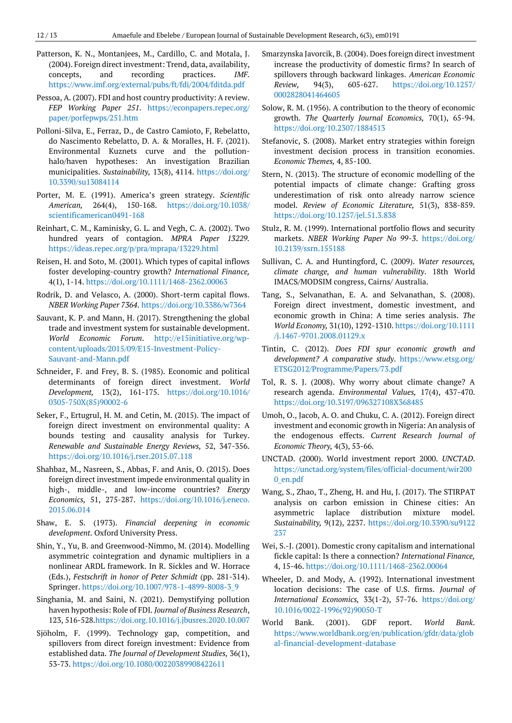- Patterson, K. N., Montanjees, M., Cardillo, C. and Motala, J. (2004). Foreign direct investment: Trend, data, availability, concepts, and recording practices. *IMF.* <https://www.imf.org/external/pubs/ft/fdi/2004/fditda.pdf>
- Pessoa, A. (2007). FDI and host country productivity: A review. *FEP Working Paper 251*. [https://econpapers.repec.org/](https://econpapers.repec.org/paper/porfepwps/251.htm) [paper/porfepwps/251.htm](https://econpapers.repec.org/paper/porfepwps/251.htm)
- Polloni-Silva, E., Ferraz, D., de Castro Camioto, F, Rebelatto, do Nascimento Rebelatto, D. A. & Moralles, H. F. (2021). Environmental Kuznets curve and the pollutionhalo/haven hypotheses: An investigation Brazilian municipalities. *Sustainability,* 13(8), 4114. [https://doi.org/](https://doi.org/10.3390/su13084114) [10.3390/su13084114](https://doi.org/10.3390/su13084114)
- Porter, M. E. (1991). America's green strategy. *Scientific American,* 264(4), 150-168. [https://doi.org/10.1038/](https://doi.org/10.1038/scientificamerican0491-168) [scientificamerican0491-168](https://doi.org/10.1038/scientificamerican0491-168)
- Reinhart, C. M., Kaminisky, G. L. and Vegh, C. A. (2002). Two hundred years of contagion. *MPRA Paper 13229.* <https://ideas.repec.org/p/pra/mprapa/13229.html>
- Reisen, H. and Soto, M. (2001). Which types of capital inflows foster developing-country growth? *International Finance,*  4(1), 1-14. <https://doi.org/10.1111/1468-2362.00063>
- Rodrik, D. and Velasco, A. (2000). Short-term capital flows. *NBER Working Paper 7364*. <https://doi.org/10.3386/w7364>
- Sauvant, K. P. and Mann, H. (2017). Strengthening the global trade and investment system for sustainable development. *World Economic Forum*. [http://e15initiative.org/wp](http://e15initiative.org/wp-content/uploads/2015/09/E15-Investment-Policy-Sauvant-and-Mann.pdf)[content/uploads/2015/09/E15-Investment-Policy-](http://e15initiative.org/wp-content/uploads/2015/09/E15-Investment-Policy-Sauvant-and-Mann.pdf)[Sauvant-and-Mann.pdf](http://e15initiative.org/wp-content/uploads/2015/09/E15-Investment-Policy-Sauvant-and-Mann.pdf)
- Schneider, F. and Frey, B. S. (1985). Economic and political determinants of foreign direct investment. *World Development,* 13(2), 161-175. [https://doi.org/10.1016/](https://doi.org/10.1016/0305-750X(85)90002-6) [0305-750X\(85\)90002-6](https://doi.org/10.1016/0305-750X(85)90002-6)
- Seker, F., Ertugrul, H. M. and Cetin, M. (2015). The impact of foreign direct investment on environmental quality: A bounds testing and causality analysis for Turkey. *Renewable and Sustainable Energy Reviews,* 52, 347-356. <https://doi.org/10.1016/j.rser.2015.07.118>
- Shahbaz, M., Nasreen, S., Abbas, F. and Anis, O. (2015). Does foreign direct investment impede environmental quality in high-, middle-, and low-income countries? *Energy Economics,* 51, 275-287. [https://doi.org/10.1016/j.eneco.](https://doi.org/10.1016/j.eneco.2015.06.014) [2015.06.014](https://doi.org/10.1016/j.eneco.2015.06.014)
- Shaw, E. S. (1973). *Financial deepening in economic development*. Oxford University Press.
- Shin, Y., Yu, B. and Greenwood-Nimmo, M. (2014). Modelling asymmetric cointegration and dynamic multipliers in a nonlinear ARDL framework. In R. Sickles and W. Horrace (Eds.), *Festschrift in honor of Peter Schmidt* (pp. 281-314). Springer[. https://doi.org/10.1007/978-1-4899-8008-3\\_9](https://doi.org/10.1007/978-1-4899-8008-3_9)
- Singhania, M. and Saini, N. (2021). Demystifying pollution haven hypothesis: Role of FDI. *Journal of Business Research*, 123, 516-528[.https://doi.org.10.1016/j.jbusres.2020.10.007](https://doi.org.10.1016/j.jbusres.2020.10.007)
- Sjöholm, F. (1999). Technology gap, competition, and spillovers from direct foreign investment: Evidence from established data. *The Journal of Development Studies,* 36(1), 53-73[. https://doi.org/10.1080/00220389908422611](https://doi.org/10.1080/00220389908422611)
- Smarzynska Javorcik, B. (2004). Does foreign direct investment increase the productivity of domestic firms? In search of spillovers through backward linkages. *American Economic Review,* 94(3), 605-627. [https://doi.org/10.1257/](https://doi.org/10.1257/0002828041464605) [0002828041464605](https://doi.org/10.1257/0002828041464605)
- Solow, R. M. (1956). A contribution to the theory of economic growth. *The Quarterly Journal Economics,* 70(1), 65-94. <https://doi.org/10.2307/1884513>
- Stefanovic, S. (2008). Market entry strategies within foreign investment decision process in transition economies. *Economic Themes,* 4, 85-100.
- Stern, N. (2013). The structure of economic modelling of the potential impacts of climate change: Grafting gross underestimation of risk onto already narrow science model. *Review of Economic Literature,* 51(3), 838-859. <https://doi.org/10.1257/jel.51.3.838>
- Stulz, R. M. (1999). International portfolio flows and security markets. *NBER Working Paper No 99-3*. [https://doi.org/](https://doi.org/10.2139/ssrn.155188) [10.2139/ssrn.155188](https://doi.org/10.2139/ssrn.155188)
- Sullivan, C. A. and Huntingford, C. (2009). *Water resources, climate change, and human vulnerability*. 18th World IMACS/MODSIM congress, Cairns/ Australia.
- Tang, S., Selvanathan, E. A. and Selvanathan, S. (2008). Foreign direct investment, domestic investment, and economic growth in China: A time series analysis. *The World Economy,* 31(10), 1292-1310. [https://doi.org/10.1111](https://doi.org/10.1111/j.1467-9701.2008.01129.x) [/j.1467-9701.2008.01129.x](https://doi.org/10.1111/j.1467-9701.2008.01129.x)
- Tintin, C. (2012). *Does FDI spur economic growth and development? A comparative study*. [https://www.etsg.org/](https://www.etsg.org/ETSG2012/Programme/Papers/73.pdf) [ETSG2012/Programme/Papers/73.pdf](https://www.etsg.org/ETSG2012/Programme/Papers/73.pdf)
- Tol, R. S. J. (2008). Why worry about climate change? A research agenda. *Environmental Values,* 17(4), 437-470. <https://doi.org/10.3197/096327108X368485>
- Umoh, O., Jacob, A. O. and Chuku, C. A. (2012). Foreign direct investment and economic growth in Nigeria: An analysis of the endogenous effects. *Current Research Journal of Economic Theory,* 4(3), 53-66.
- UNCTAD. (2000). World investment report 2000. *UNCTAD*. [https://unctad.org/system/files/official-document/wir200](https://unctad.org/system/files/official-document/wir2000_en.pdf) [0\\_en.pdf](https://unctad.org/system/files/official-document/wir2000_en.pdf)
- Wang, S., Zhao, T., Zheng, H. and Hu, J. (2017). The STIRPAT analysis on carbon emission in Chinese cities: An asymmetric laplace distribution mixture model. *Sustainability,* 9(12), 2237. [https://doi.org/10.3390/su9122](https://doi.org/10.3390/su9122237) [237](https://doi.org/10.3390/su9122237)
- Wei, S.-J. (2001). Domestic crony capitalism and international fickle capital: Is there a connection? *International Finance,*  4, 15-46. <https://doi.org/10.1111/1468-2362.00064>
- Wheeler, D. and Mody, A. (1992). International investment location decisions: The case of U.S. firms. *Journal of International Economics,* 33(1-2), 57-76. [https://doi.org/](https://doi.org/10.1016/0022-1996(92)90050-T) [10.1016/0022-1996\(92\)90050-T](https://doi.org/10.1016/0022-1996(92)90050-T)
- World Bank. (2001). GDF report. *World Bank*. [https://www.worldbank.org/en/publication/gfdr/data/glob](https://www.worldbank.org/en/publication/gfdr/data/global-financial-development-database) [al-financial-development-database](https://www.worldbank.org/en/publication/gfdr/data/global-financial-development-database)